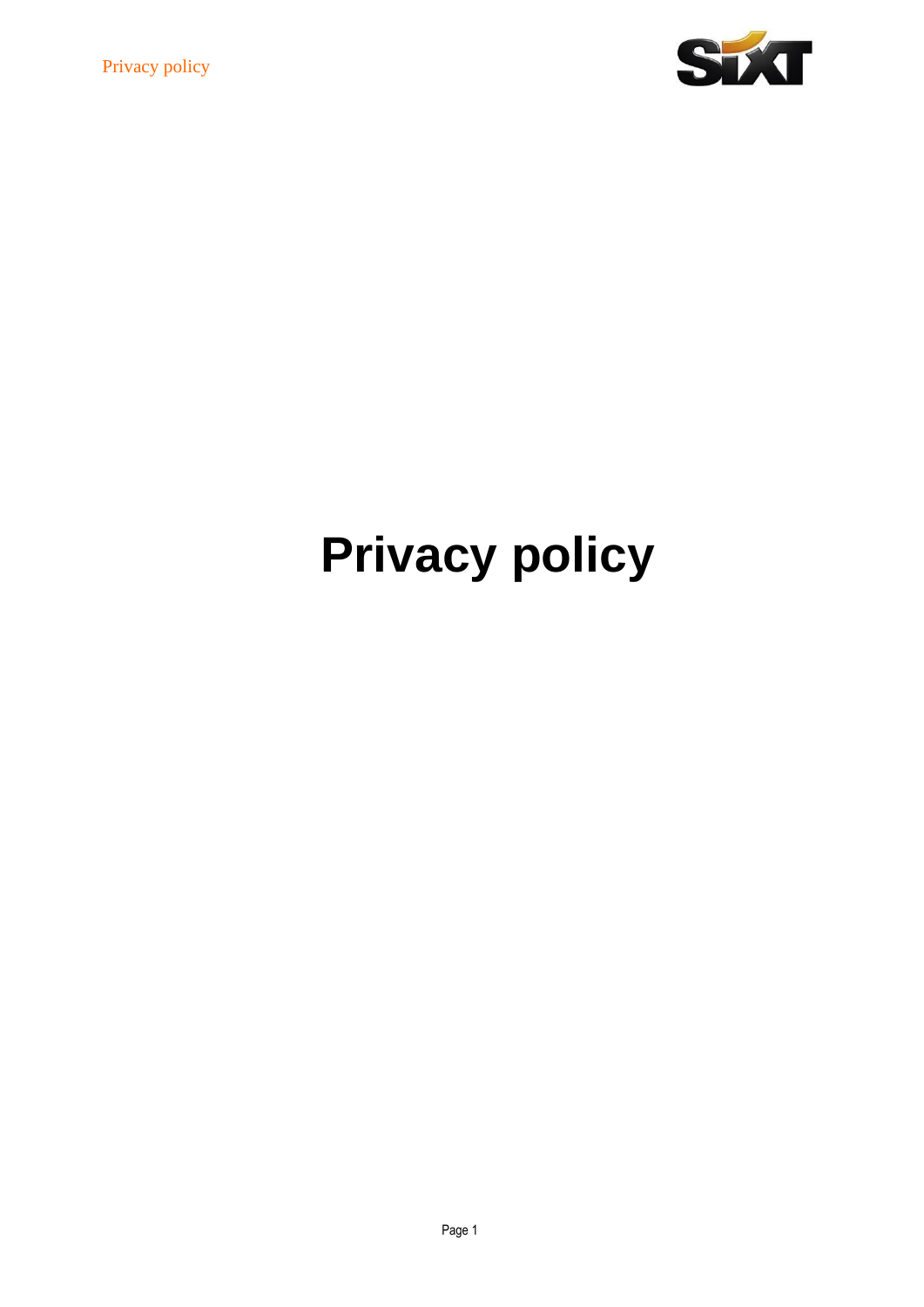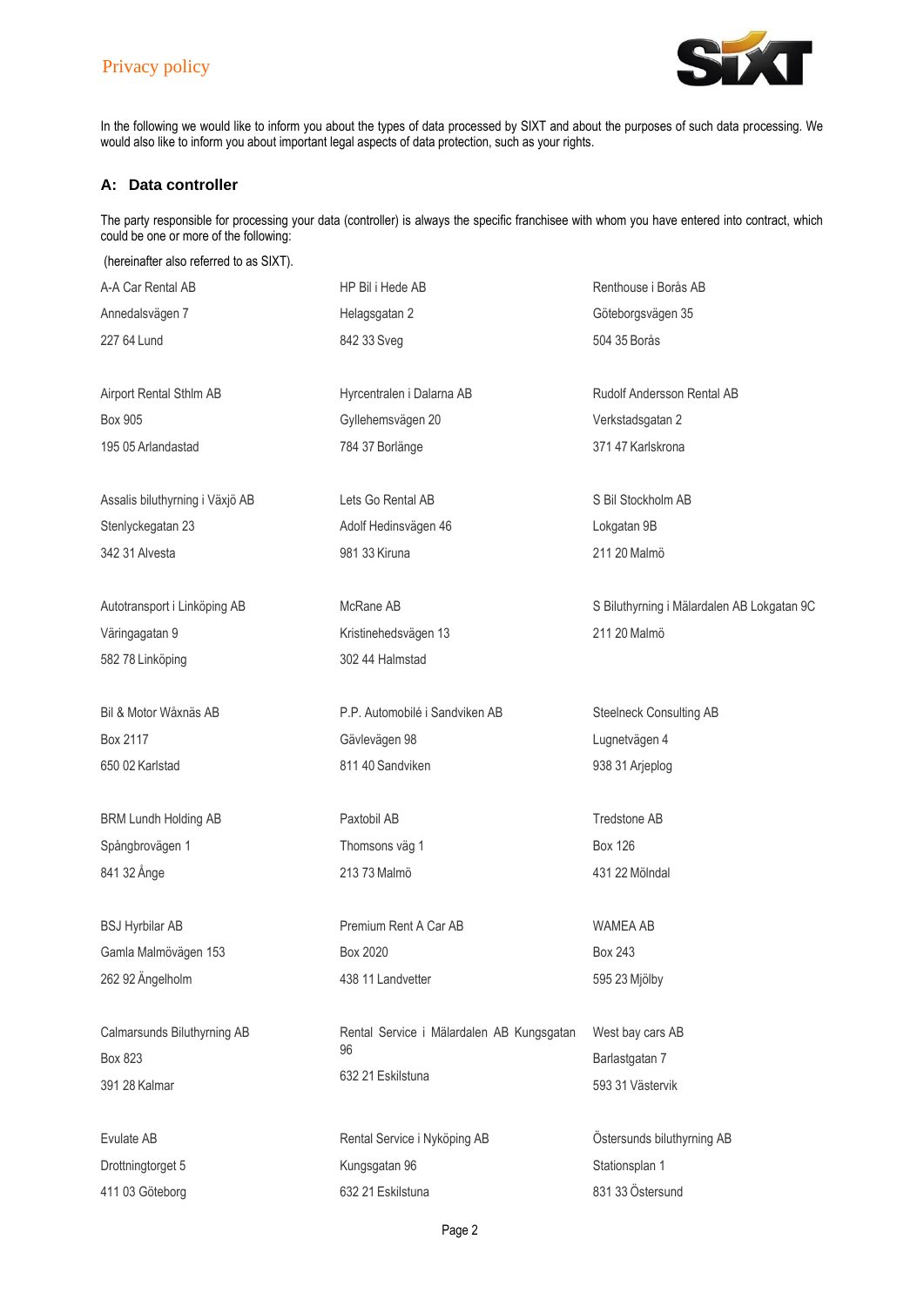

In the following we would like to inform you about the types of data processed by SIXT and about the purposes of such data processing. We would also like to inform you about important legal aspects of data protection, such as your rights.

# **A: Data controller**

The party responsible for processing your data (controller) is always the specific franchisee with whom you have entered into contract, which could be one or more of the following:

| (hereinafter also referred to as SIXT). |                                           |                                            |
|-----------------------------------------|-------------------------------------------|--------------------------------------------|
| A-A Car Rental AB                       | HP Bil i Hede AB                          | Renthouse i Borås AB                       |
| Annedalsvägen 7                         | Helagsgatan 2                             | Göteborgsvägen 35                          |
| 227 64 Lund                             | 842 33 Sveg                               | 504 35 Borås                               |
| Airport Rental Sthlm AB                 | Hyrcentralen i Dalarna AB                 | Rudolf Andersson Rental AB                 |
| Box 905                                 | Gyllehemsvägen 20                         | Verkstadsgatan 2                           |
| 195 05 Arlandastad                      | 784 37 Borlänge                           | 371 47 Karlskrona                          |
| Assalis biluthyrning i Växjö AB         | Lets Go Rental AB                         | S Bil Stockholm AB                         |
| Stenlyckegatan 23                       | Adolf Hedinsvägen 46                      | Lokgatan 9B                                |
| 342 31 Alvesta                          | 981 33 Kiruna                             | 211 20 Malmö                               |
| Autotransport i Linköping AB            | McRane AB                                 | S Biluthyrning i Mälardalen AB Lokgatan 9C |
| Väringagatan 9                          | Kristinehedsvägen 13                      | 211 20 Malmö                               |
| 582 78 Linköping                        | 302 44 Halmstad                           |                                            |
| Bil & Motor Wåxnäs AB                   | P.P. Automobilé i Sandviken AB            | Steelneck Consulting AB                    |
| Box 2117                                | Gävlevägen 98                             | Lugnetvägen 4                              |
| 650 02 Karlstad                         | 811 40 Sandviken                          | 938 31 Arjeplog                            |
| <b>BRM Lundh Holding AB</b>             | Paxtobil AB                               | Tredstone AB                               |
| Spångbrovägen 1                         | Thomsons väg 1                            | <b>Box 126</b>                             |
| 841 32 Ånge                             | 213 73 Malmö                              | 431 22 Mölndal                             |
| <b>BSJ Hyrbilar AB</b>                  | Premium Rent A Car AB                     | <b>WAMEA AB</b>                            |
| Gamla Malmövägen 153                    | Box 2020                                  | <b>Box 243</b>                             |
| 262 92 Ängelholm                        | 438 11 Landvetter                         | 595 23 Mjölby                              |
| Calmarsunds Biluthyrning AB             | Rental Service i Mälardalen AB Kungsgatan | West bay cars AB                           |
| Box 823                                 | 96                                        | Barlastgatan 7                             |
| 391 28 Kalmar                           | 632 21 Eskilstuna                         | 593 31 Västervik                           |
| Evulate AB                              | Rental Service i Nyköping AB              | Östersunds biluthyrning AB                 |
| Drottningtorget 5                       | Kungsgatan 96                             | Stationsplan 1                             |
| 411 03 Göteborg                         | 632 21 Eskilstuna                         | 831 33 Östersund                           |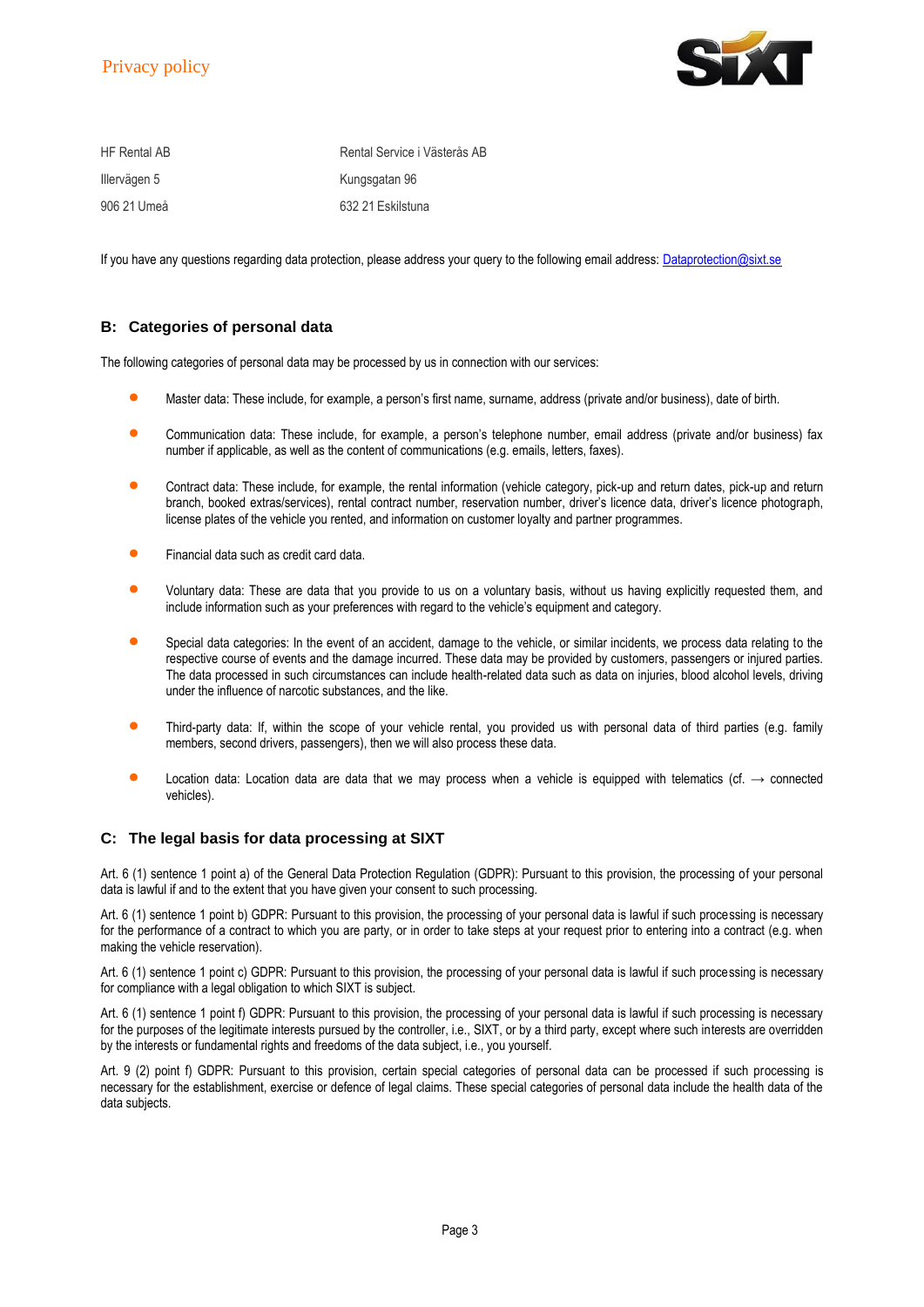

| <b>HF Rental AB</b> | Rental Service i Västerås AB |
|---------------------|------------------------------|
| Illervägen 5        | Kungsgatan 96                |
| 906 21 Umeå         | 632 21 Eskilstuna            |

If you have any questions regarding data protection, please address your query to the following email address[: Dataprotection@sixt.se](mailto:Dataprotection@sixt.se)

# **B: Categories of personal data**

The following categories of personal data may be processed by us in connection with our services:

- Master data: These include, for example, a person's first name, surname, address (private and/or business), date of birth.
- Communication data: These include, for example, a person's telephone number, email address (private and/or business) fax number if applicable, as well as the content of communications (e.g. emails, letters, faxes).
- Contract data: These include, for example, the rental information (vehicle category, pick-up and return dates, pick-up and return branch, booked extras/services), rental contract number, reservation number, driver's licence data, driver's licence photograph, license plates of the vehicle you rented, and information on customer loyalty and partner programmes.
- Financial data such as credit card data.
- Voluntary data: These are data that you provide to us on a voluntary basis, without us having explicitly requested them, and include information such as your preferences with regard to the vehicle's equipment and category.
- Special data categories: In the event of an accident, damage to the vehicle, or similar incidents, we process data relating to the respective course of events and the damage incurred. These data may be provided by customers, passengers or injured parties. The data processed in such circumstances can include health-related data such as data on injuries, blood alcohol levels, driving under the influence of narcotic substances, and the like.
- Third-party data: If, within the scope of your vehicle rental, you provided us with personal data of third parties (e.g. family members, second drivers, passengers), then we will also process these data.
- Location data: Location data are data that we may process when a vehicle is equipped with telematics (cf.  $\rightarrow$  connected vehicles).

# **C: The legal basis for data processing at SIXT**

Art. 6 (1) sentence 1 point a) of the General Data Protection Regulation (GDPR): Pursuant to this provision, the processing of your personal data is lawful if and to the extent that you have given your consent to such processing.

Art. 6 (1) sentence 1 point b) GDPR: Pursuant to this provision, the processing of your personal data is lawful if such processing is necessary for the performance of a contract to which you are party, or in order to take steps at your request prior to entering into a contract (e.g. when making the vehicle reservation).

Art. 6 (1) sentence 1 point c) GDPR: Pursuant to this provision, the processing of your personal data is lawful if such processing is necessary for compliance with a legal obligation to which SIXT is subject.

Art. 6 (1) sentence 1 point f) GDPR: Pursuant to this provision, the processing of your personal data is lawful if such processing is necessary for the purposes of the legitimate interests pursued by the controller, i.e., SIXT, or by a third party, except where such interests are overridden by the interests or fundamental rights and freedoms of the data subject, i.e., you yourself.

Art. 9 (2) point f) GDPR: Pursuant to this provision, certain special categories of personal data can be processed if such processing is necessary for the establishment, exercise or defence of legal claims. These special categories of personal data include the health data of the data subjects.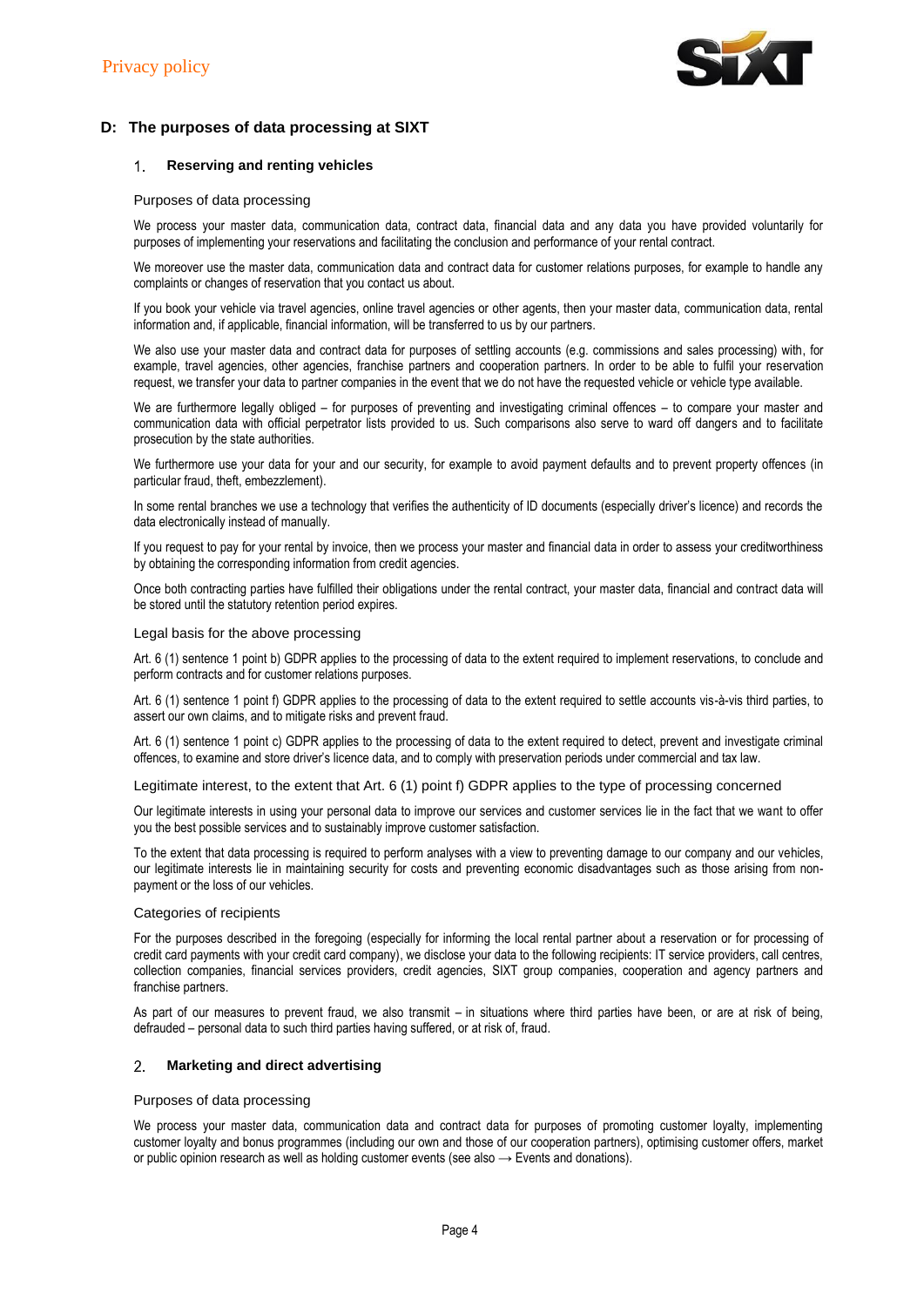

# **D: The purposes of data processing at SIXT**

#### $1.$ **Reserving and renting vehicles**

## Purposes of data processing

We process your master data, communication data, contract data, financial data and any data you have provided voluntarily for purposes of implementing your reservations and facilitating the conclusion and performance of your rental contract.

We moreover use the master data, communication data and contract data for customer relations purposes, for example to handle any complaints or changes of reservation that you contact us about.

If you book your vehicle via travel agencies, online travel agencies or other agents, then your master data, communication data, rental information and, if applicable, financial information, will be transferred to us by our partners.

We also use your master data and contract data for purposes of settling accounts (e.g. commissions and sales processing) with, for example, travel agencies, other agencies, franchise partners and cooperation partners. In order to be able to fulfil your reservation request, we transfer your data to partner companies in the event that we do not have the requested vehicle or vehicle type available.

We are furthermore legally obliged – for purposes of preventing and investigating criminal offences – to compare your master and communication data with official perpetrator lists provided to us. Such comparisons also serve to ward off dangers and to facilitate prosecution by the state authorities.

We furthermore use your data for your and our security, for example to avoid payment defaults and to prevent property offences (in particular fraud, theft, embezzlement).

In some rental branches we use a technology that verifies the authenticity of ID documents (especially driver's licence) and records the data electronically instead of manually.

If you request to pay for your rental by invoice, then we process your master and financial data in order to assess your creditworthiness by obtaining the corresponding information from credit agencies.

Once both contracting parties have fulfilled their obligations under the rental contract, your master data, financial and contract data will be stored until the statutory retention period expires.

#### Legal basis for the above processing

Art. 6 (1) sentence 1 point b) GDPR applies to the processing of data to the extent required to implement reservations, to conclude and perform contracts and for customer relations purposes.

Art. 6 (1) sentence 1 point f) GDPR applies to the processing of data to the extent required to settle accounts vis-à-vis third parties, to assert our own claims, and to mitigate risks and prevent fraud.

Art. 6 (1) sentence 1 point c) GDPR applies to the processing of data to the extent required to detect, prevent and investigate criminal offences, to examine and store driver's licence data, and to comply with preservation periods under commercial and tax law.

Legitimate interest, to the extent that Art. 6 (1) point f) GDPR applies to the type of processing concerned

Our legitimate interests in using your personal data to improve our services and customer services lie in the fact that we want to offer you the best possible services and to sustainably improve customer satisfaction.

To the extent that data processing is required to perform analyses with a view to preventing damage to our company and our vehicles, our legitimate interests lie in maintaining security for costs and preventing economic disadvantages such as those arising from nonpayment or the loss of our vehicles.

## Categories of recipients

For the purposes described in the foregoing (especially for informing the local rental partner about a reservation or for processing of credit card payments with your credit card company), we disclose your data to the following recipients: IT service providers, call centres, collection companies, financial services providers, credit agencies, SIXT group companies, cooperation and agency partners and franchise partners.

As part of our measures to prevent fraud, we also transmit – in situations where third parties have been, or are at risk of being, defrauded – personal data to such third parties having suffered, or at risk of, fraud.

#### $2 -$ **Marketing and direct advertising**

## Purposes of data processing

We process your master data, communication data and contract data for purposes of promoting customer loyalty, implementing customer loyalty and bonus programmes (including our own and those of our cooperation partners), optimising customer offers, market or public opinion research as well as holding customer events (see also  $\rightarrow$  Events and donations).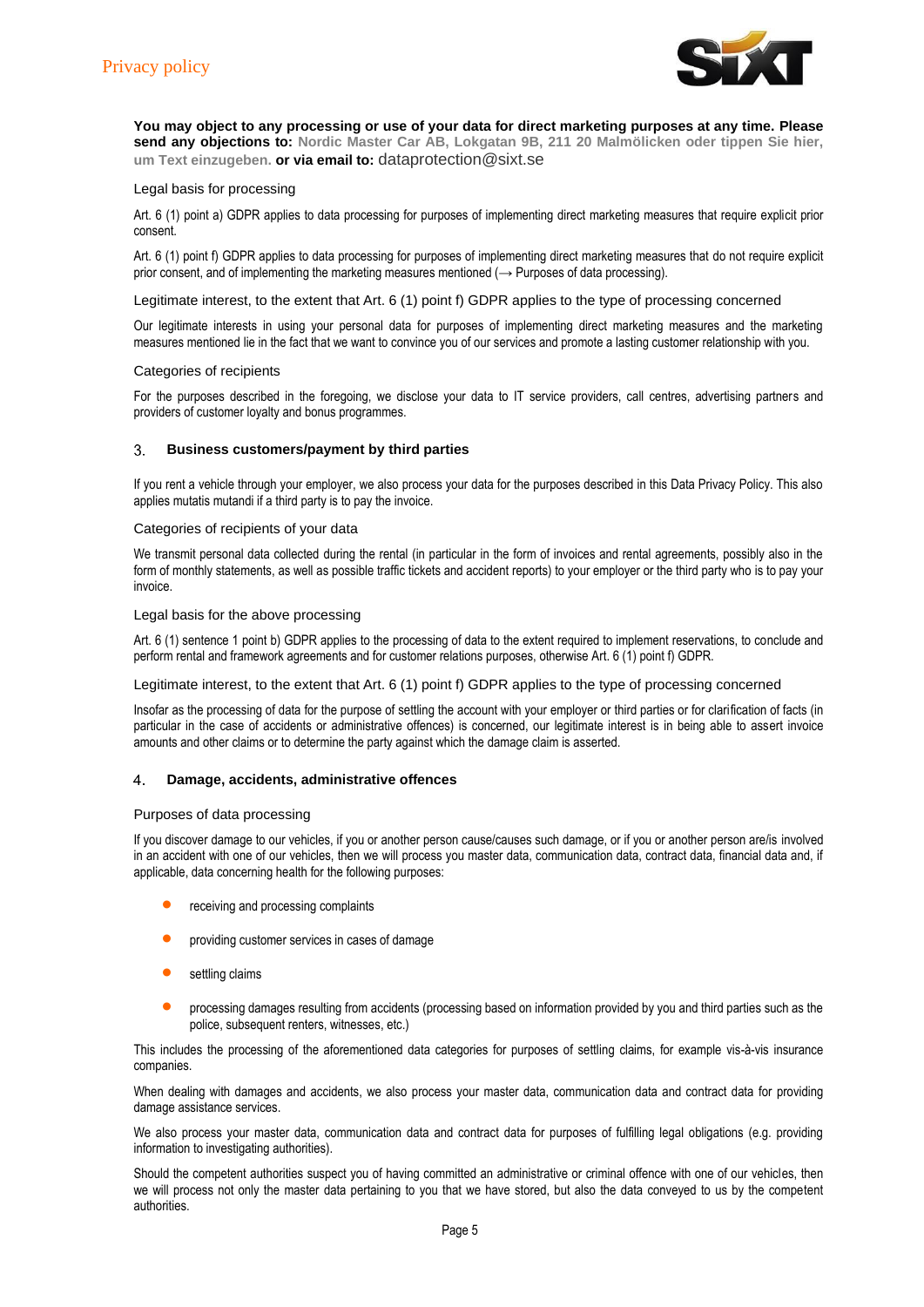

**You may object to any processing or use of your data for direct marketing purposes at any time. Please send any objections to: Nordic Master Car AB, Lokgatan 9B, 211 20 Malmölicken oder tippen Sie hier, um Text einzugeben. or via email to:** [dataprotection@sixt.se](mailto:dataprotection@sixt.se)

## Legal basis for processing

Art. 6 (1) point a) GDPR applies to data processing for purposes of implementing direct marketing measures that require explicit prior consent.

Art. 6 (1) point f) GDPR applies to data processing for purposes of implementing direct marketing measures that do not require explicit prior consent, and of implementing the marketing measures mentioned ( $\rightarrow$  Purposes of data processing).

Legitimate interest, to the extent that Art. 6 (1) point f) GDPR applies to the type of processing concerned

Our legitimate interests in using your personal data for purposes of implementing direct marketing measures and the marketing measures mentioned lie in the fact that we want to convince you of our services and promote a lasting customer relationship with you.

## Categories of recipients

For the purposes described in the foregoing, we disclose your data to IT service providers, call centres, advertising partners and providers of customer loyalty and bonus programmes.

#### $3.$ **Business customers/payment by third parties**

If you rent a vehicle through your employer, we also process your data for the purposes described in this Data Privacy Policy. This also applies mutatis mutandi if a third party is to pay the invoice.

#### Categories of recipients of your data

We transmit personal data collected during the rental (in particular in the form of invoices and rental agreements, possibly also in the form of monthly statements, as well as possible traffic tickets and accident reports) to your employer or the third party who is to pay your invoice.

## Legal basis for the above processing

Art. 6 (1) sentence 1 point b) GDPR applies to the processing of data to the extent required to implement reservations, to conclude and perform rental and framework agreements and for customer relations purposes, otherwise Art. 6 (1) point f) GDPR.

## Legitimate interest, to the extent that Art. 6 (1) point f) GDPR applies to the type of processing concerned

Insofar as the processing of data for the purpose of settling the account with your employer or third parties or for clarification of facts (in particular in the case of accidents or administrative offences) is concerned, our legitimate interest is in being able to assert invoice amounts and other claims or to determine the party against which the damage claim is asserted.

#### **Damage, accidents, administrative offences**  $\blacktriangle$

## Purposes of data processing

If you discover damage to our vehicles, if you or another person cause/causes such damage, or if you or another person are/is involved in an accident with one of our vehicles, then we will process you master data, communication data, contract data, financial data and, if applicable, data concerning health for the following purposes:

- receiving and processing complaints
- providing customer services in cases of damage
- settling claims
- **•** processing damages resulting from accidents (processing based on information provided by you and third parties such as the police, subsequent renters, witnesses, etc.)

This includes the processing of the aforementioned data categories for purposes of settling claims, for example vis-à-vis insurance companies.

When dealing with damages and accidents, we also process your master data, communication data and contract data for providing damage assistance services.

We also process your master data, communication data and contract data for purposes of fulfilling legal obligations (e.g. providing information to investigating authorities).

Should the competent authorities suspect you of having committed an administrative or criminal offence with one of our vehicles, then we will process not only the master data pertaining to you that we have stored, but also the data conveyed to us by the competent authorities.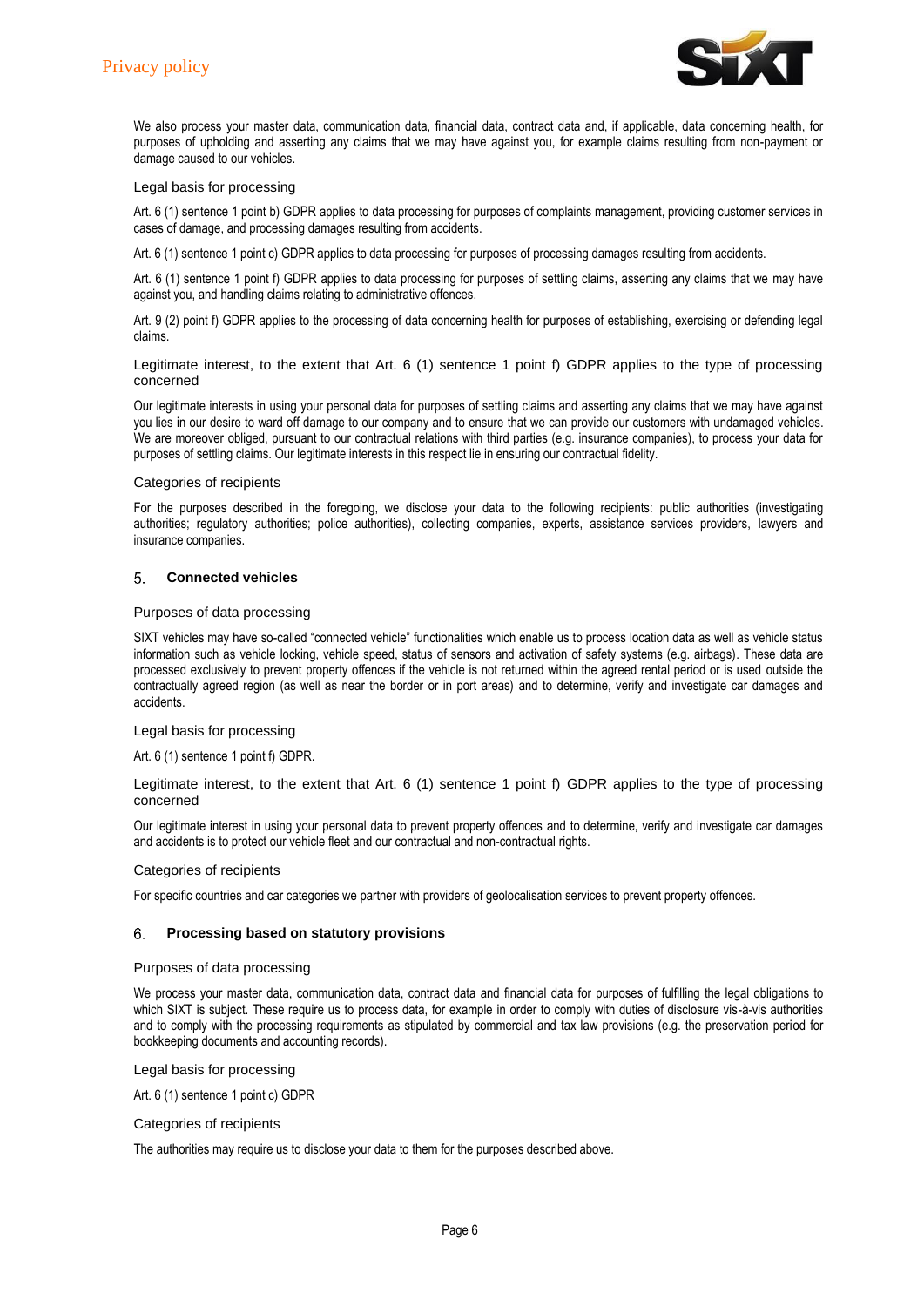

We also process your master data, communication data, financial data, contract data and, if applicable, data concerning health, for purposes of upholding and asserting any claims that we may have against you, for example claims resulting from non-payment or damage caused to our vehicles.

#### Legal basis for processing

Art. 6 (1) sentence 1 point b) GDPR applies to data processing for purposes of complaints management, providing customer services in cases of damage, and processing damages resulting from accidents.

Art. 6 (1) sentence 1 point c) GDPR applies to data processing for purposes of processing damages resulting from accidents.

Art. 6 (1) sentence 1 point f) GDPR applies to data processing for purposes of settling claims, asserting any claims that we may have against you, and handling claims relating to administrative offences.

Art. 9 (2) point f) GDPR applies to the processing of data concerning health for purposes of establishing, exercising or defending legal claims.

Legitimate interest, to the extent that Art. 6 (1) sentence 1 point f) GDPR applies to the type of processing concerned

Our legitimate interests in using your personal data for purposes of settling claims and asserting any claims that we may have against you lies in our desire to ward off damage to our company and to ensure that we can provide our customers with undamaged vehicles. We are moreover obliged, pursuant to our contractual relations with third parties (e.g. insurance companies), to process your data for purposes of settling claims. Our legitimate interests in this respect lie in ensuring our contractual fidelity.

#### Categories of recipients

For the purposes described in the foregoing, we disclose your data to the following recipients: public authorities (investigating authorities; regulatory authorities; police authorities), collecting companies, experts, assistance services providers, lawyers and insurance companies.

#### **Connected vehicles** 5.

## Purposes of data processing

SIXT vehicles may have so-called "connected vehicle" functionalities which enable us to process location data as well as vehicle status information such as vehicle locking, vehicle speed, status of sensors and activation of safety systems (e.g. airbags). These data are processed exclusively to prevent property offences if the vehicle is not returned within the agreed rental period or is used outside the contractually agreed region (as well as near the border or in port areas) and to determine, verify and investigate car damages and accidents.

## Legal basis for processing

Art. 6 (1) sentence 1 point f) GDPR.

Legitimate interest, to the extent that Art. 6 (1) sentence 1 point f) GDPR applies to the type of processing concerned

Our legitimate interest in using your personal data to prevent property offences and to determine, verify and investigate car damages and accidents is to protect our vehicle fleet and our contractual and non-contractual rights.

## Categories of recipients

For specific countries and car categories we partner with providers of geolocalisation services to prevent property offences.

#### **Processing based on statutory provisions** 6.

#### Purposes of data processing

We process your master data, communication data, contract data and financial data for purposes of fulfilling the legal obligations to which SIXT is subject. These require us to process data, for example in order to comply with duties of disclosure vis-à-vis authorities and to comply with the processing requirements as stipulated by commercial and tax law provisions (e.g. the preservation period for bookkeeping documents and accounting records).

Legal basis for processing

Art. 6 (1) sentence 1 point c) GDPR

## Categories of recipients

The authorities may require us to disclose your data to them for the purposes described above.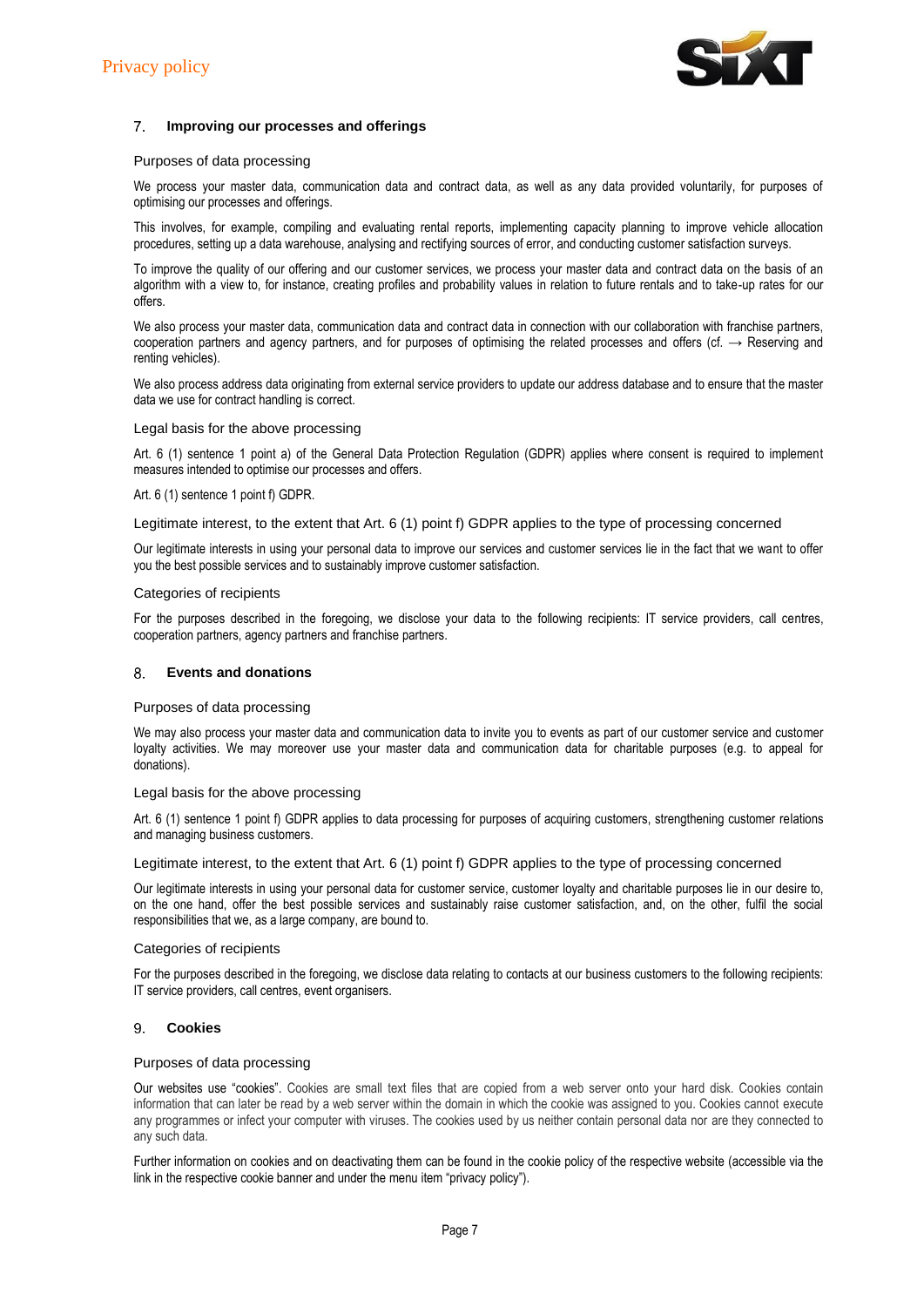

#### $7<sup>1</sup>$ **Improving our processes and offerings**

#### Purposes of data processing

We process your master data, communication data and contract data, as well as any data provided voluntarily, for purposes of optimising our processes and offerings.

This involves, for example, compiling and evaluating rental reports, implementing capacity planning to improve vehicle allocation procedures, setting up a data warehouse, analysing and rectifying sources of error, and conducting customer satisfaction surveys.

To improve the quality of our offering and our customer services, we process your master data and contract data on the basis of an algorithm with a view to, for instance, creating profiles and probability values in relation to future rentals and to take-up rates for our offers.

We also process your master data, communication data and contract data in connection with our collaboration with franchise partners, cooperation partners and agency partners, and for purposes of optimising the related processes and offers (cf.  $\rightarrow$  Reserving and renting vehicles).

We also process address data originating from external service providers to update our address database and to ensure that the master data we use for contract handling is correct.

#### Legal basis for the above processing

Art. 6 (1) sentence 1 point a) of the General Data Protection Regulation (GDPR) applies where consent is required to implement measures intended to optimise our processes and offers.

#### Art. 6 (1) sentence 1 point f) GDPR.

Legitimate interest, to the extent that Art. 6 (1) point f) GDPR applies to the type of processing concerned

Our legitimate interests in using your personal data to improve our services and customer services lie in the fact that we want to offer you the best possible services and to sustainably improve customer satisfaction.

#### Categories of recipients

For the purposes described in the foregoing, we disclose your data to the following recipients: IT service providers, call centres, cooperation partners, agency partners and franchise partners.

#### **Events and donations** 8.

#### Purposes of data processing

We may also process your master data and communication data to invite you to events as part of our customer service and customer loyalty activities. We may moreover use your master data and communication data for charitable purposes (e.g. to appeal for donations).

#### Legal basis for the above processing

Art. 6 (1) sentence 1 point f) GDPR applies to data processing for purposes of acquiring customers, strengthening customer relations and managing business customers.

Legitimate interest, to the extent that Art. 6 (1) point f) GDPR applies to the type of processing concerned

Our legitimate interests in using your personal data for customer service, customer loyalty and charitable purposes lie in our desire to, on the one hand, offer the best possible services and sustainably raise customer satisfaction, and, on the other, fulfil the social responsibilities that we, as a large company, are bound to.

#### Categories of recipients

For the purposes described in the foregoing, we disclose data relating to contacts at our business customers to the following recipients: IT service providers, call centres, event organisers.

#### **Cookies**  9.

## Purposes of data processing

Our websites use "cookies". Cookies are small text files that are copied from a web server onto your hard disk. Cookies contain information that can later be read by a web server within the domain in which the cookie was assigned to you. Cookies cannot execute any programmes or infect your computer with viruses. The cookies used by us neither contain personal data nor are they connected to any such data.

Further information on cookies and on deactivating them can be found in the cookie policy of the respective website (accessible via the link in the respective cookie banner and under the menu item "privacy policy").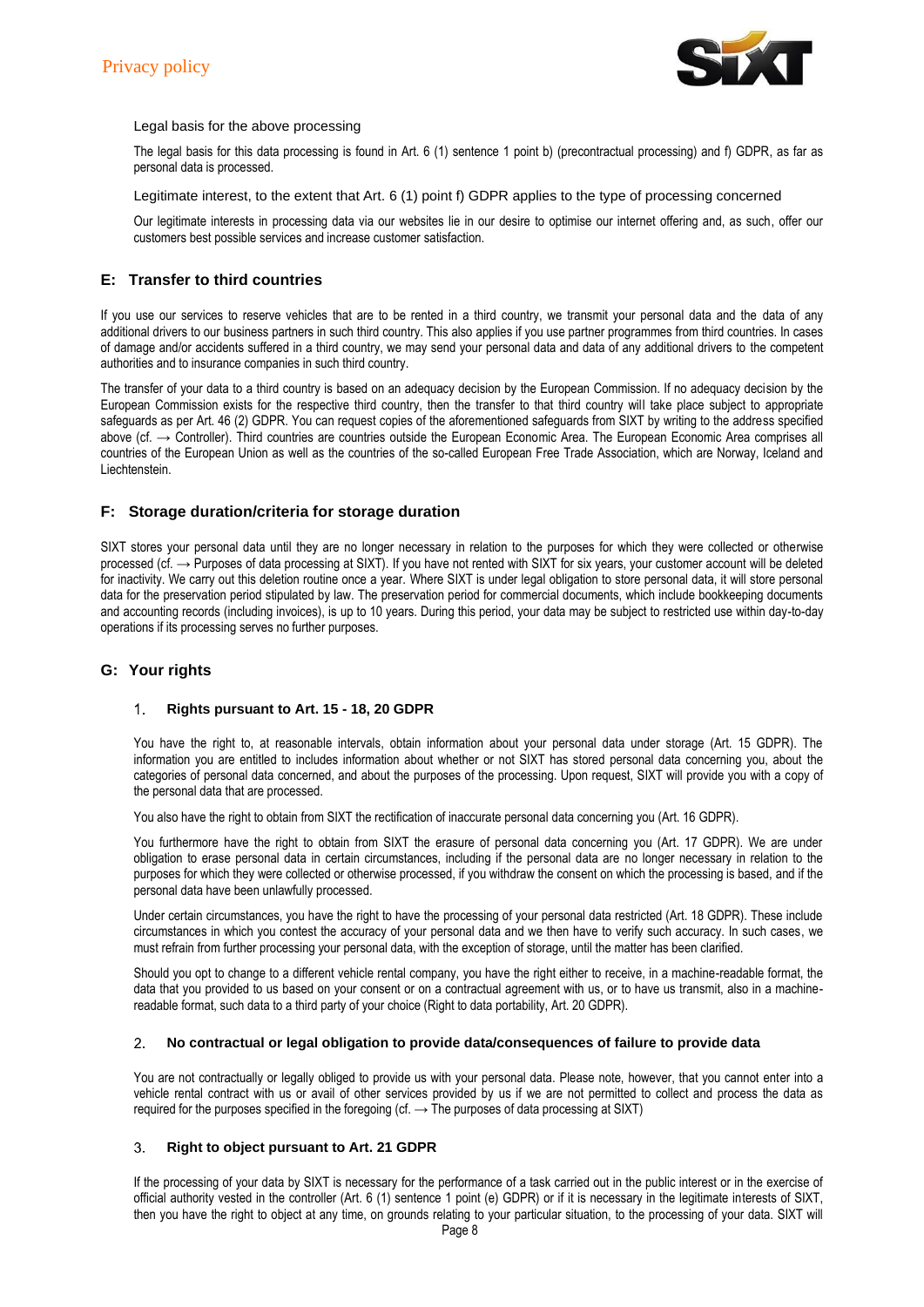

## Legal basis for the above processing

The legal basis for this data processing is found in Art. 6 (1) sentence 1 point b) (precontractual processing) and f) GDPR, as far as personal data is processed.

Legitimate interest, to the extent that Art. 6 (1) point f) GDPR applies to the type of processing concerned

Our legitimate interests in processing data via our websites lie in our desire to optimise our internet offering and, as such, offer our customers best possible services and increase customer satisfaction.

# **E: Transfer to third countries**

If you use our services to reserve vehicles that are to be rented in a third country, we transmit your personal data and the data of any additional drivers to our business partners in such third country. This also applies if you use partner programmes from third countries. In cases of damage and/or accidents suffered in a third country, we may send your personal data and data of any additional drivers to the competent authorities and to insurance companies in such third country.

The transfer of your data to a third country is based on an adequacy decision by the European Commission. If no adequacy decision by the European Commission exists for the respective third country, then the transfer to that third country will take place subject to appropriate safeguards as per Art. 46 (2) GDPR. You can request copies of the aforementioned safeguards from SIXT by writing to the address specified above (cf. → Controller). Third countries are countries outside the European Economic Area. The European Economic Area comprises all countries of the European Union as well as the countries of the so-called European Free Trade Association, which are Norway, Iceland and Liechtenstein.

# **F: Storage duration/criteria for storage duration**

SIXT stores your personal data until they are no longer necessary in relation to the purposes for which they were collected or otherwise processed (cf. → Purposes of data processing at SIXT). If you have not rented with SIXT for six years, your customer account will be deleted for inactivity. We carry out this deletion routine once a year. Where SIXT is under legal obligation to store personal data, it will store personal data for the preservation period stipulated by law. The preservation period for commercial documents, which include bookkeeping documents and accounting records (including invoices), is up to 10 years. During this period, your data may be subject to restricted use within day-to-day operations if its processing serves no further purposes.

# **G: Your rights**

#### $\mathbf{1}$ **Rights pursuant to Art. 15 - 18, 20 GDPR**

You have the right to, at reasonable intervals, obtain information about your personal data under storage (Art. 15 GDPR). The information you are entitled to includes information about whether or not SIXT has stored personal data concerning you, about the categories of personal data concerned, and about the purposes of the processing. Upon request, SIXT will provide you with a copy of the personal data that are processed.

You also have the right to obtain from SIXT the rectification of inaccurate personal data concerning you (Art. 16 GDPR).

You furthermore have the right to obtain from SIXT the erasure of personal data concerning you (Art. 17 GDPR). We are under obligation to erase personal data in certain circumstances, including if the personal data are no longer necessary in relation to the purposes for which they were collected or otherwise processed, if you withdraw the consent on which the processing is based, and if the personal data have been unlawfully processed.

Under certain circumstances, you have the right to have the processing of your personal data restricted (Art. 18 GDPR). These include circumstances in which you contest the accuracy of your personal data and we then have to verify such accuracy. In such cases, we must refrain from further processing your personal data, with the exception of storage, until the matter has been clarified.

Should you opt to change to a different vehicle rental company, you have the right either to receive, in a machine-readable format, the data that you provided to us based on your consent or on a contractual agreement with us, or to have us transmit, also in a machinereadable format, such data to a third party of your choice (Right to data portability, Art. 20 GDPR).

#### $2.$ **No contractual or legal obligation to provide data/consequences of failure to provide data**

You are not contractually or legally obliged to provide us with your personal data. Please note, however, that you cannot enter into a vehicle rental contract with us or avail of other services provided by us if we are not permitted to collect and process the data as required for the purposes specified in the foregoing (cf.  $\rightarrow$  The purposes of data processing at SIXT)

#### 3. **Right to object pursuant to Art. 21 GDPR**

If the processing of your data by SIXT is necessary for the performance of a task carried out in the public interest or in the exercise of official authority vested in the controller (Art. 6 (1) sentence 1 point (e) GDPR) or if it is necessary in the legitimate interests of SIXT, then you have the right to object at any time, on grounds relating to your particular situation, to the processing of your data. SIXT will